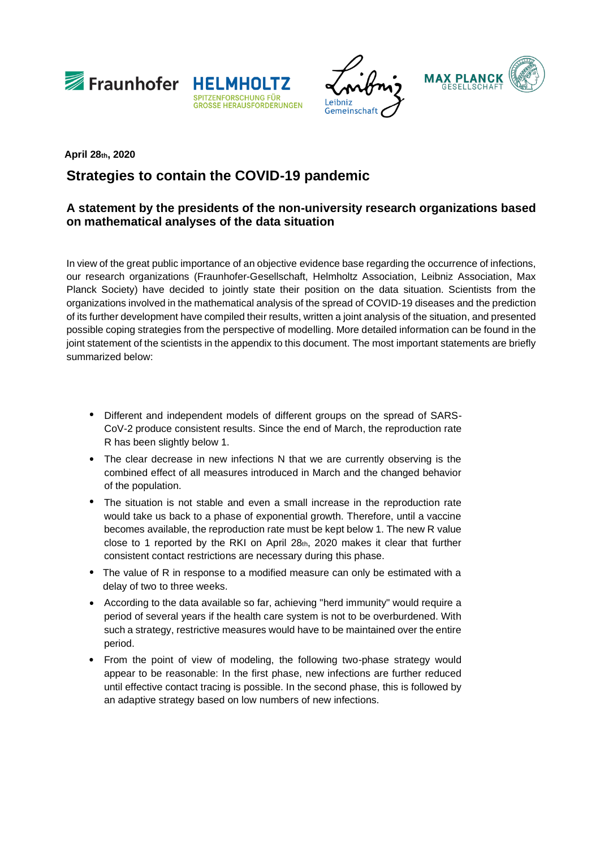







## **Strategies to contain the COVID-19 pandemic April 28th, 2020**

## **A statement by the presidents of the non-university research organizations based on mathematical analyses of the data situation**

In view of the great public importance of an objective evidence base regarding the occurrence of infections, our research organizations (Fraunhofer-Gesellschaft, Helmholtz Association, Leibniz Association, Max Planck Society) have decided to jointly state their position on the data situation. Scientists from the organizations involved in the mathematical analysis of the spread of COVID-19 diseases and the prediction of its further development have compiled their results, written a joint analysis of the situation, and presented possible coping strategies from the perspective of modelling. More detailed information can be found in the joint statement of the scientists in the appendix to this document. The most important statements are briefly summarized below:

- Different and independent models of different groups on the spread of SARS-CoV-2 produce consistent results. Since the end of March, the reproduction rate R has been slightly below 1.
- The clear decrease in new infections N that we are currently observing is the combined effect of all measures introduced in March and the changed behavior of the population.
- The situation is not stable and even a small increase in the reproduction rate would take us back to a phase of exponential growth. Therefore, until a vaccine becomes available, the reproduction rate must be kept below 1. The new R value close to 1 reported by the RKI on April  $28th$ ,  $2020$  makes it clear that further consistent contact restrictions are necessary during this phase.
- The value of R in response to a modified measure can only be estimated with a delay of two to three weeks.
- According to the data available so far, achieving "herd immunity" would require a period of several years if the health care system is not to be overburdened. With such a strategy, restrictive measures would have to be maintained over the entire period.
- From the point of view of modeling, the following two-phase strategy would appear to be reasonable: In the first phase, new infections are further reduced until effective contact tracing is possible. In the second phase, this is followed by an adaptive strategy based on low numbers of new infections.